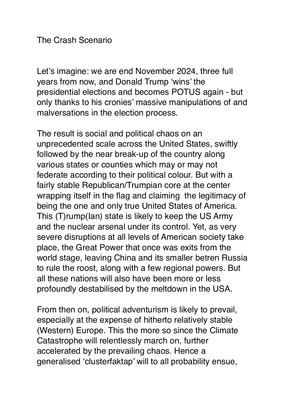## The Crash Scenario

Let's imagine: we are end November 2024, three full years from now, and Donald Trump 'wins' the presidential elections and becomes POTUS again - but only thanks to his cronies' massive manipulations of and malversations in the election process.

The result is social and political chaos on an unprecedented scale across the United States, swiftly followed by the near break-up of the country along various states or counties which may or may not federate according to their political colour. But with a fairly stable Republican/Trumpian core at the center wrapping itself in the flag and claiming the legitimacy of being the one and only true United States of America. This (T)rump(Ian) state is likely to keep the US Army and the nuclear arsenal under its control. Yet, as very severe disruptions at all levels of American society take place, the Great Power that once was exits from the world stage, leaving China and its smaller betren Russia to rule the roost, along with a few regional powers. But all these nations will also have been more or less profoundly destabilised by the meltdown in the USA.

From then on, political adventurism is likely to prevail, especially at the expense of hitherto relatively stable (Western) Europe. This the more so since the Climate Catastrophe will relentlessly march on, further accelerated by the prevailing chaos. Hence a generalised 'clusterfaktap' will to all probability ensue,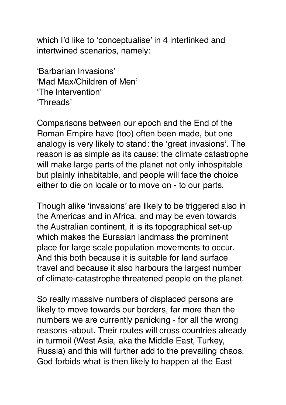which I'd like to 'conceptualise' in 4 interlinked and intertwined scenarios, namely:

'Barbarian Invasions' 'Mad Max/Children of Men' 'The Intervention' 'Threads'

Comparisons between our epoch and the End of the Roman Empire have (too) often been made, but one analogy is very likely to stand: the 'great invasions'. The reason is as simple as its cause: the climate catastrophe will make large parts of the planet not only inhospitable but plainly inhabitable, and people will face the choice either to die on locale or to move on - to our parts.

Though alike 'invasions' are likely to be triggered also in the Americas and in Africa, and may be even towards the Australian continent, it is its topographical set-up which makes the Eurasian landmass the prominent place for large scale population movements to occur. And this both because it is suitable for land surface travel and because it also harbours the largest number of climate-catastrophe threatened people on the planet.

So really massive numbers of displaced persons are likely to move towards our borders, far more than the numbers we are currently panicking - for all the wrong reasons -about. Their routes will cross countries already in turmoil (West Asia, aka the Middle East, Turkey, Russia) and this will further add to the prevailing chaos. God forbids what is then likely to happen at the East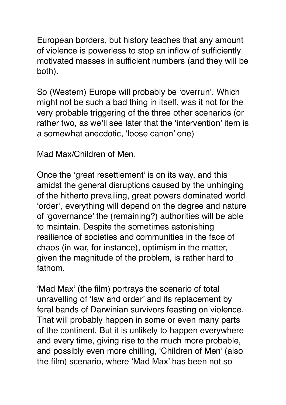European borders, but history teaches that any amount of violence is powerless to stop an inflow of sufficiently motivated masses in sufficient numbers (and they will be both).

So (Western) Europe will probably be 'overrun'. Which might not be such a bad thing in itself, was it not for the very probable triggering of the three other scenarios (or rather two, as we'll see later that the 'intervention' item is a somewhat anecdotic, 'loose canon' one)

Mad Max/Children of Men.

Once the 'great resettlement' is on its way, and this amidst the general disruptions caused by the unhinging of the hitherto prevailing, great powers dominated world 'order', everything will depend on the degree and nature of 'governance' the (remaining?) authorities will be able to maintain. Despite the sometimes astonishing resilience of societies and communities in the face of chaos (in war, for instance), optimism in the matter, given the magnitude of the problem, is rather hard to fathom.

'Mad Max' (the film) portrays the scenario of total unravelling of 'law and order' and its replacement by feral bands of Darwinian survivors feasting on violence. That will probably happen in some or even many parts of the continent. But it is unlikely to happen everywhere and every time, giving rise to the much more probable, and possibly even more chilling, 'Children of Men' (also the film) scenario, where 'Mad Max' has been not so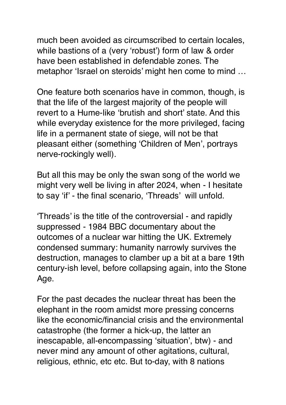much been avoided as circumscribed to certain locales, while bastions of a (very 'robust') form of law & order have been established in defendable zones. The metaphor 'Israel on steroids' might hen come to mind …

One feature both scenarios have in common, though, is that the life of the largest majority of the people will revert to a Hume-like 'brutish and short' state. And this while everyday existence for the more privileged, facing life in a permanent state of siege, will not be that pleasant either (something 'Children of Men', portrays nerve-rockingly well).

But all this may be only the swan song of the world we might very well be living in after 2024, when - I hesitate to say 'if' - the final scenario, 'Threads' will unfold.

'Threads' is the title of the controversial - and rapidly suppressed - 1984 BBC documentary about the outcomes of a nuclear war hitting the UK. Extremely condensed summary: humanity narrowly survives the destruction, manages to clamber up a bit at a bare 19th century-ish level, before collapsing again, into the Stone Age.

For the past decades the nuclear threat has been the elephant in the room amidst more pressing concerns like the economic/financial crisis and the environmental catastrophe (the former a hick-up, the latter an inescapable, all-encompassing 'situation', btw) - and never mind any amount of other agitations, cultural, religious, ethnic, etc etc. But to-day, with 8 nations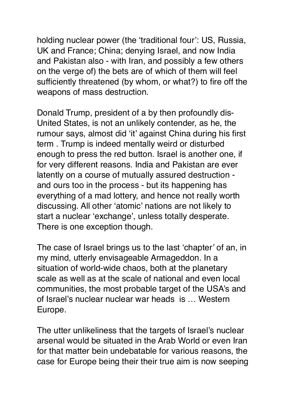holding nuclear power (the 'traditional four': US, Russia, UK and France; China; denying Israel, and now India and Pakistan also - with Iran, and possibly a few others on the verge of) the bets are of which of them will feel sufficiently threatened (by whom, or what?) to fire off the weapons of mass destruction.

Donald Trump, president of a by then profoundly dis-United States, is not an unlikely contender, as he, the rumour says, almost did 'it' against China during his first term . Trump is indeed mentally weird or disturbed enough to press the red button. Israel is another one, if for very different reasons. India and Pakistan are ever latently on a course of mutually assured destruction and ours too in the process - but its happening has everything of a mad lottery, and hence not really worth discussing. All other 'atomic' nations are not likely to start a nuclear 'exchange', unless totally desperate. There is one exception though.

The case of Israel brings us to the last 'chapter' of an, in my mind, utterly envisageable Armageddon. In a situation of world-wide chaos, both at the planetary scale as well as at the scale of national and even local communities, the most probable target of the USA's and of Israel's nuclear nuclear war heads is … Western Europe.

The utter unlikeliness that the targets of Israel's nuclear arsenal would be situated in the Arab World or even Iran for that matter bein undebatable for various reasons, the case for Europe being their their true aim is now seeping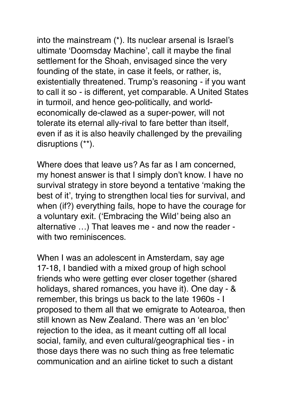into the mainstream (\*). Its nuclear arsenal is Israel's ultimate 'Doomsday Machine', call it maybe the final settlement for the Shoah, envisaged since the very founding of the state, in case it feels, or rather, is, existentially threatened. Trump's reasoning - if you want to call it so - is different, yet comparable. A United States in turmoil, and hence geo-politically, and worldeconomically de-clawed as a super-power, will not tolerate its eternal ally-rival to fare better than itself, even if as it is also heavily challenged by the prevailing disruptions (\*\*).

Where does that leave us? As far as I am concerned, my honest answer is that I simply don't know. I have no survival strategy in store beyond a tentative 'making the best of it', trying to strengthen local ties for survival, and when (if?) everything fails, hope to have the courage for a voluntary exit. ('Embracing the Wild' being also an alternative …) That leaves me - and now the reader with two reminiscences.

When I was an adolescent in Amsterdam, say age 17-18, I bandied with a mixed group of high school friends who were getting ever closer together (shared holidays, shared romances, you have it). One day - & remember, this brings us back to the late 1960s - I proposed to them all that we emigrate to Aotearoa, then still known as New Zealand. There was an 'en bloc' rejection to the idea, as it meant cutting off all local social, family, and even cultural/geographical ties - in those days there was no such thing as free telematic communication and an airline ticket to such a distant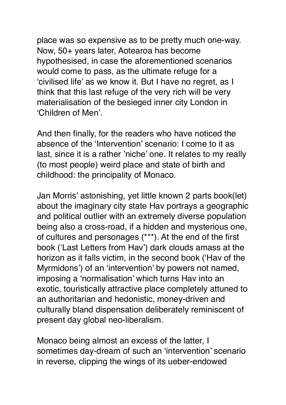place was so expensive as to be pretty much one-way. Now, 50+ years later, Aotearoa has become hypothesised, in case the aforementioned scenarios would come to pass, as the ultimate refuge for a 'civilised life' as we know it. But I have no regret, as I think that this last refuge of the very rich will be very materialisation of the besieged inner city London in 'Children of Men'.

And then finally, for the readers who have noticed the absence of the 'Intervention' scenario: I come to it as last, since it is a rather 'niche' one. It relates to my really (to most people) weird place and state of birth and childhood: the principality of Monaco.

Jan Morris' astonishing, yet little known 2 parts book(let) about the imaginary city state Hav portrays a geographic and political outlier with an extremely diverse population being also a cross-road, if a hidden and mysterious one, of cultures and personages (\*\*\*). At the end of the first book ('Last Letters from Hav') dark clouds amass at the horizon as it falls victim, in the second book ('Hav of the Myrmidons') of an 'intervention' by powers not named, imposing a 'normalisation' which turns Hav into an exotic, touristically attractive place completely attuned to an authoritarian and hedonistic, money-driven and culturally bland dispensation deliberately reminiscent of present day global neo-liberalism.

Monaco being almost an excess of the latter, I sometimes day-dream of such an 'intervention' scenario in reverse, clipping the wings of its ueber-endowed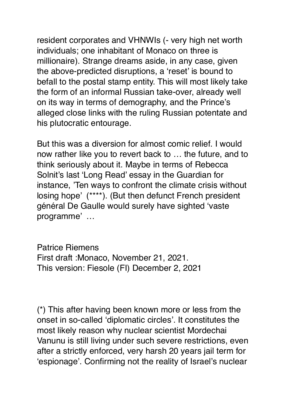resident corporates and VHNWIs (- very high net worth individuals; one inhabitant of Monaco on three is millionaire). Strange dreams aside, in any case, given the above-predicted disruptions, a 'reset' is bound to befall to the postal stamp entity. This will most likely take the form of an informal Russian take-over, already well on its way in terms of demography, and the Prince's alleged close links with the ruling Russian potentate and his plutocratic entourage.

But this was a diversion for almost comic relief. I would now rather like you to revert back to … the future, and to think seriously about it. Maybe in terms of Rebecca Solnit's last 'Long Read' essay in the Guardian for instance, 'Ten ways to confront the climate crisis without losing hope' (\*\*\*\*). (But then defunct French president général De Gaulle would surely have sighted 'vaste programme' …

Patrice Riemens First draft :Monaco, November 21, 2021. This version: Fiesole (FI) December 2, 2021

(\*) This after having been known more or less from the onset in so-called 'diplomatic circles'. It constitutes the most likely reason why nuclear scientist Mordechai Vanunu is still living under such severe restrictions, even after a strictly enforced, very harsh 20 years jail term for 'espionage'. Confirming not the reality of Israel's nuclear